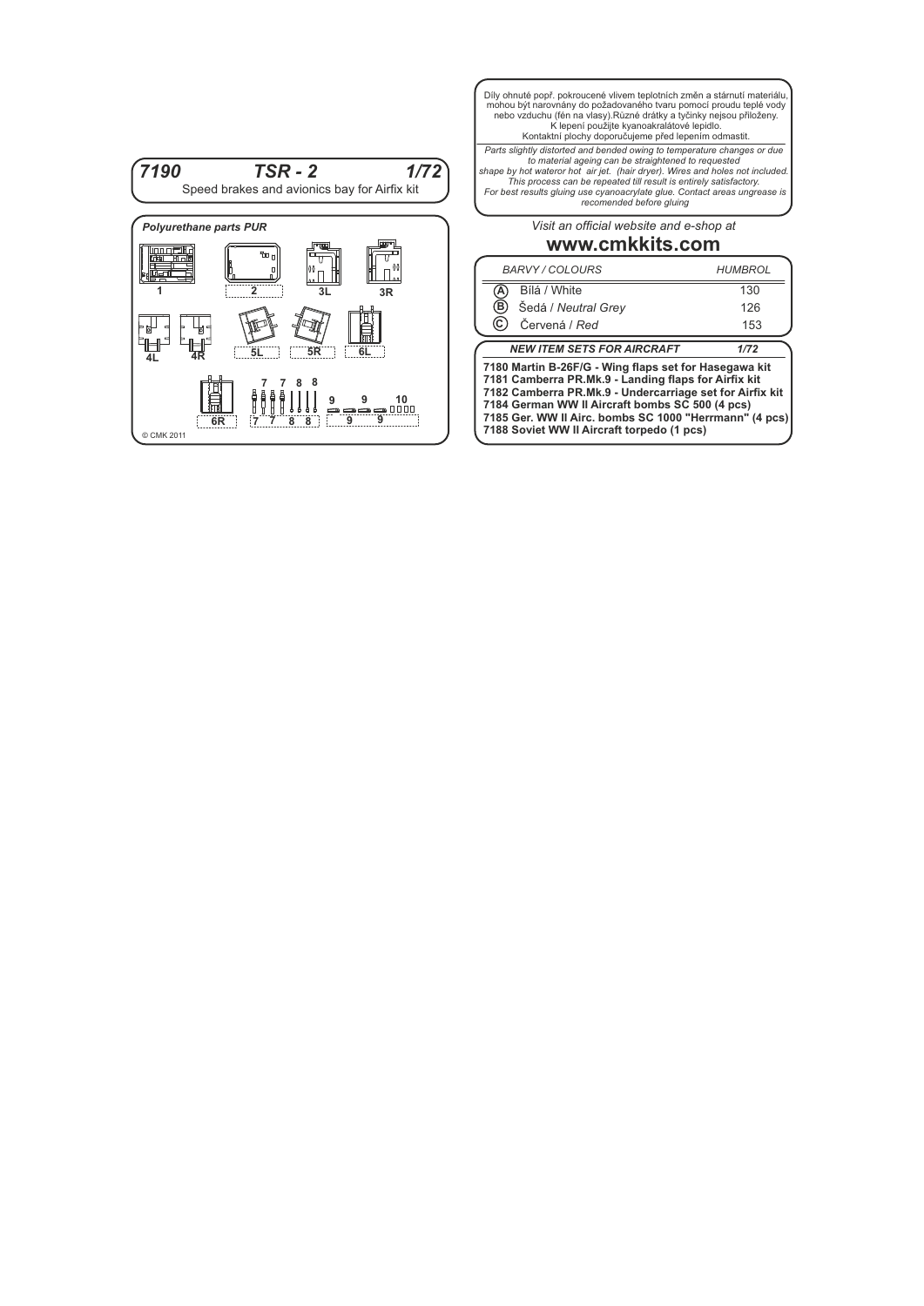

Díly ohnuté popř. pokroucené vlivem teplotních změn a stárnutí materiálu, mohou být narovnány do požadovaného tvaru pomocí proudu teplé vody<br>nebo vzduchu (fén na vlasy).Různé drátky a tyčinky nejsou přiloženy.<br>K lepení použijte kyanoakralátové lepidlo.<br>Kontaktní plochy doporučujeme před lepením

Parts slightly distorted and bended owing to temperature changes or due<br>to material ageing can be straightened to requested<br>shape by hot wateror hot air jet. (hair dryer). Wires and holes not included.<br>This process can be

*Visit an official website and e-shop at*

## **www.cmkkits.com**

| <b>BARVY / COLOURS</b>                                                                                                                                                                                                                                                                                                               |                     | <b>HUMBROL</b> |
|--------------------------------------------------------------------------------------------------------------------------------------------------------------------------------------------------------------------------------------------------------------------------------------------------------------------------------------|---------------------|----------------|
|                                                                                                                                                                                                                                                                                                                                      | Bílá / White        | 130            |
| ΈË,                                                                                                                                                                                                                                                                                                                                  | Šedá / Neutral Grey | 126            |
|                                                                                                                                                                                                                                                                                                                                      | Červená / Red       | 153            |
| <b>NEW ITEM SETS FOR AIRCRAFT</b><br>1/72                                                                                                                                                                                                                                                                                            |                     |                |
| 7180 Martin B-26F/G - Wing flaps set for Hasegawa kit<br>7181 Camberra PR.Mk.9 - Landing flaps for Airfix kit<br>7182 Camberra PR.Mk.9 - Undercarriage set for Airfix kit<br>7184 German WW II Aircraft bombs SC 500 (4 pcs)<br>7185 Ger. WW II Airc. bombs SC 1000 "Herrmann" (4 pcs)<br>7188 Soviet WW II Aircraft torpedo (1 pcs) |                     |                |